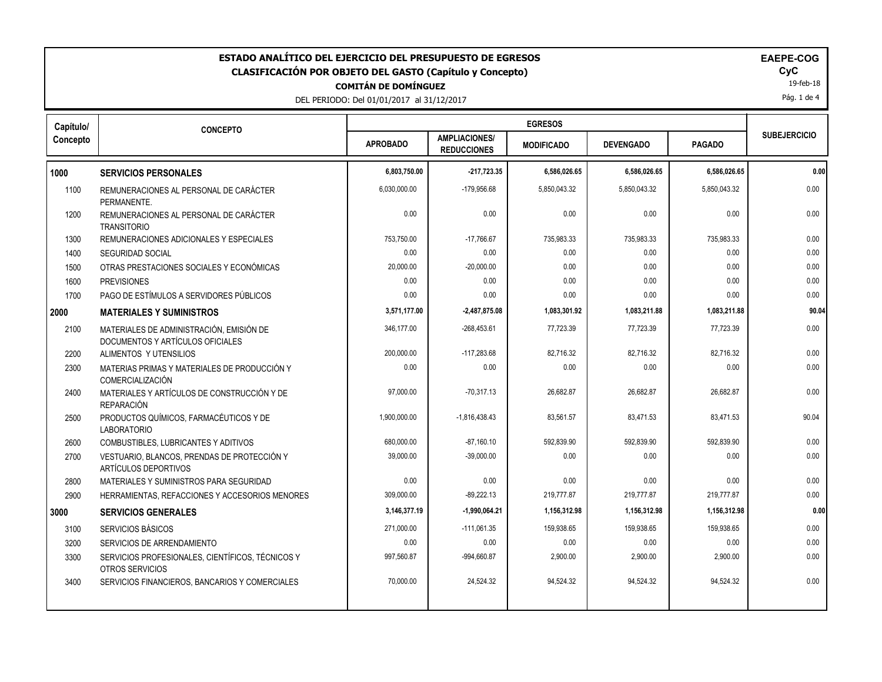| ESTADO ANALÍTICO DEL EJERCICIO DEL PRESUPUESTO DE EGRESOS<br><b>EAEPE-COG</b><br>CyC<br><b>CLASIFICACIÓN POR OBJETO DEL GASTO (Capítulo y Concepto)</b><br>19-feb-18<br><b>COMITÁN DE DOMÍNGUEZ</b><br>Pág. 1 de 4<br>DEL PERIODO: Del 01/01/2017 al 31/12/2017 |                                                                              |                 |                                            |                   |                  |               |                     |
|-----------------------------------------------------------------------------------------------------------------------------------------------------------------------------------------------------------------------------------------------------------------|------------------------------------------------------------------------------|-----------------|--------------------------------------------|-------------------|------------------|---------------|---------------------|
| Capítulo/                                                                                                                                                                                                                                                       | <b>CONCEPTO</b>                                                              |                 |                                            | <b>EGRESOS</b>    |                  |               | <b>SUBEJERCICIO</b> |
| Concepto                                                                                                                                                                                                                                                        |                                                                              | <b>APROBADO</b> | <b>AMPLIACIONES/</b><br><b>REDUCCIONES</b> | <b>MODIFICADO</b> | <b>DEVENGADO</b> | <b>PAGADO</b> |                     |
| 1000                                                                                                                                                                                                                                                            | <b>SERVICIOS PERSONALES</b>                                                  | 6,803,750.00    | $-217,723.35$                              | 6,586,026.65      | 6,586,026.65     | 6,586,026.65  | 0.00                |
| 1100                                                                                                                                                                                                                                                            | REMUNERACIONES AL PERSONAL DE CARÁCTER<br>PERMANENTE.                        | 6,030,000.00    | $-179,956.68$                              | 5,850,043.32      | 5.850.043.32     | 5,850,043.32  | 0.00                |
| 1200                                                                                                                                                                                                                                                            | REMUNERACIONES AL PERSONAL DE CARÁCTER<br><b>TRANSITORIO</b>                 | 0.00            | 0.00                                       | 0.00              | 0.00             | 0.00          | 0.00                |
| 1300                                                                                                                                                                                                                                                            | REMUNERACIONES ADICIONALES Y ESPECIALES                                      | 753,750.00      | $-17.766.67$                               | 735,983.33        | 735.983.33       | 735.983.33    | 0.00                |
| 1400                                                                                                                                                                                                                                                            | <b>SEGURIDAD SOCIAL</b>                                                      | 0.00            | 0.00                                       | 0.00              | 0.00             | 0.00          | 0.00                |
| 1500                                                                                                                                                                                                                                                            | OTRAS PRESTACIONES SOCIALES Y ECONÓMICAS                                     | 20,000.00       | $-20,000.00$                               | 0.00              | 0.00             | 0.00          | 0.00                |
| 1600                                                                                                                                                                                                                                                            | <b>PREVISIONES</b>                                                           | 0.00            | 0.00                                       | 0.00              | 0.00             | 0.00          | 0.00                |
| 1700                                                                                                                                                                                                                                                            | PAGO DE ESTÍMULOS A SERVIDORES PÚBLICOS                                      | 0.00            | 0.00                                       | 0.00              | 0.00             | 0.00          | 0.00                |
| 2000                                                                                                                                                                                                                                                            | <b>MATERIALES Y SUMINISTROS</b>                                              | 3,571,177.00    | $-2,487,875.08$                            | 1,083,301.92      | 1,083,211.88     | 1,083,211.88  | 90.04               |
| 2100                                                                                                                                                                                                                                                            | MATERIALES DE ADMINISTRACIÓN, EMISIÓN DE<br>DOCUMENTOS Y ARTÍCULOS OFICIALES | 346,177.00      | $-268,453.61$                              | 77,723.39         | 77,723.39        | 77,723.39     | 0.00                |
| 2200                                                                                                                                                                                                                                                            | ALIMENTOS Y UTENSILIOS                                                       | 200,000.00      | $-117.283.68$                              | 82.716.32         | 82.716.32        | 82.716.32     | 0.00                |
| 2300                                                                                                                                                                                                                                                            | MATERIAS PRIMAS Y MATERIALES DE PRODUCCIÓN Y<br><b>COMERCIALIZACIÓN</b>      | 0.00            | 0.00                                       | 0.00              | 0.00             | 0.00          | 0.00                |
| 2400                                                                                                                                                                                                                                                            | MATERIALES Y ARTÍCULOS DE CONSTRUCCIÓN Y DE<br><b>REPARACIÓN</b>             | 97,000.00       | $-70,317.13$                               | 26,682.87         | 26,682.87        | 26,682.87     | 0.00                |
| 2500                                                                                                                                                                                                                                                            | PRODUCTOS QUÍMICOS, FARMACÉUTICOS Y DE<br><b>LABORATORIO</b>                 | 1,900,000.00    | $-1,816,438.43$                            | 83.561.57         | 83,471.53        | 83,471.53     | 90.04               |
| 2600                                                                                                                                                                                                                                                            | COMBUSTIBLES, LUBRICANTES Y ADITIVOS                                         | 680,000.00      | $-87,160.10$                               | 592,839.90        | 592,839.90       | 592,839.90    | 0.00                |
| 2700                                                                                                                                                                                                                                                            | VESTUARIO, BLANCOS, PRENDAS DE PROTECCIÓN Y<br><b>ARTÍCULOS DEPORTIVOS</b>   | 39,000.00       | $-39,000.00$                               | 0.00              | 0.00             | 0.00          | 0.00                |
| 2800                                                                                                                                                                                                                                                            | MATERIALES Y SUMINISTROS PARA SEGURIDAD                                      | 0.00            | 0.00                                       | 0.00              | 0.00             | 0.00          | 0.00                |
| 2900                                                                                                                                                                                                                                                            | HERRAMIENTAS, REFACCIONES Y ACCESORIOS MENORES                               | 309,000.00      | $-89,222.13$                               | 219,777.87        | 219,777.87       | 219,777.87    | 0.00                |
| 3000                                                                                                                                                                                                                                                            | <b>SERVICIOS GENERALES</b>                                                   | 3,146,377.19    | $-1,990,064.21$                            | 1,156,312.98      | 1,156,312.98     | 1,156,312.98  | 0.00                |
| 3100                                                                                                                                                                                                                                                            | SERVICIOS BÁSICOS                                                            | 271,000.00      | $-111,061.35$                              | 159,938.65        | 159,938.65       | 159,938.65    | 0.00                |
| 3200                                                                                                                                                                                                                                                            | SERVICIOS DE ARRENDAMIENTO                                                   | 0.00            | 0.00                                       | 0.00              | 0.00             | 0.00          | 0.00                |
| 3300                                                                                                                                                                                                                                                            | SERVICIOS PROFESIONALES, CIENTÍFICOS, TÉCNICOS Y<br>OTROS SERVICIOS          | 997,560.87      | -994,660.87                                | 2,900.00          | 2,900.00         | 2,900.00      | 0.00                |
| 3400                                                                                                                                                                                                                                                            | SERVICIOS FINANCIEROS, BANCARIOS Y COMERCIALES                               | 70,000.00       | 24,524.32                                  | 94,524.32         | 94,524.32        | 94,524.32     | 0.00                |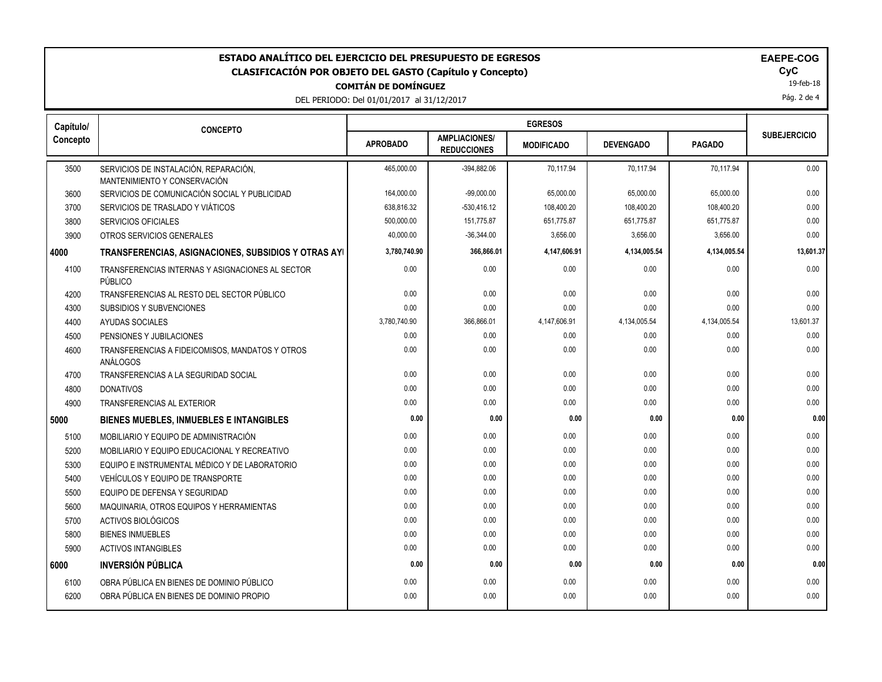| ESTADO ANALÍTICO DEL EJERCICIO DEL PRESUPUESTO DE EGRESOS<br><b>EAEPE-COG</b><br>CyC<br>CLASIFICACIÓN POR OBJETO DEL GASTO (Capítulo y Concepto)<br>19-feb-18<br><b>COMITÁN DE DOMÍNGUEZ</b><br>Pág. 2 de 4<br>DEL PERIODO: Del 01/01/2017 al 31/12/2017 |                                                                       |                 |                                            |                   |                  |               |                     |  |
|----------------------------------------------------------------------------------------------------------------------------------------------------------------------------------------------------------------------------------------------------------|-----------------------------------------------------------------------|-----------------|--------------------------------------------|-------------------|------------------|---------------|---------------------|--|
| Capítulo/                                                                                                                                                                                                                                                |                                                                       |                 |                                            |                   |                  |               |                     |  |
| Concepto                                                                                                                                                                                                                                                 | <b>CONCEPTO</b>                                                       | <b>APROBADO</b> | <b>AMPLIACIONES/</b><br><b>REDUCCIONES</b> | <b>MODIFICADO</b> | <b>DEVENGADO</b> | <b>PAGADO</b> | <b>SUBEJERCICIO</b> |  |
| 3500                                                                                                                                                                                                                                                     | SERVICIOS DE INSTALACIÓN, REPARACIÓN,<br>MANTENIMIENTO Y CONSERVACIÓN | 465,000.00      | -394,882.06                                | 70,117.94         | 70,117.94        | 70,117.94     | 0.00                |  |
| 3600                                                                                                                                                                                                                                                     | SERVICIOS DE COMUNICACIÓN SOCIAL Y PUBLICIDAD                         | 164,000.00      | $-99,000.00$                               | 65,000.00         | 65,000.00        | 65,000.00     | 0.00                |  |
| 3700                                                                                                                                                                                                                                                     | SERVICIOS DE TRASLADO Y VIÁTICOS                                      | 638,816.32      | $-530,416.12$                              | 108,400.20        | 108,400.20       | 108,400.20    | 0.00                |  |
| 3800                                                                                                                                                                                                                                                     | <b>SERVICIOS OFICIALES</b>                                            | 500,000.00      | 151,775.87                                 | 651,775.87        | 651,775.87       | 651,775.87    | 0.00                |  |
| 3900                                                                                                                                                                                                                                                     | OTROS SERVICIOS GENERALES                                             | 40,000.00       | $-36,344.00$                               | 3,656.00          | 3,656.00         | 3,656.00      | 0.00                |  |
| 4000                                                                                                                                                                                                                                                     | TRANSFERENCIAS, ASIGNACIONES, SUBSIDIOS Y OTRAS AYI                   | 3,780,740.90    | 366,866.01                                 | 4,147,606.91      | 4,134,005.54     | 4,134,005.54  | 13,601.37           |  |
| 4100                                                                                                                                                                                                                                                     | TRANSFERENCIAS INTERNAS Y ASIGNACIONES AL SECTOR<br>PÚBLICO           | 0.00            | 0.00                                       | 0.00              | 0.00             | 0.00          | 0.00                |  |
| 4200                                                                                                                                                                                                                                                     | TRANSFERENCIAS AL RESTO DEL SECTOR PÚBLICO                            | 0.00            | 0.00                                       | 0.00              | 0.00             | 0.00          | 0.00                |  |
| 4300                                                                                                                                                                                                                                                     | <b>SUBSIDIOS Y SUBVENCIONES</b>                                       | 0.00            | 0.00                                       | 0.00              | 0.00             | 0.00          | 0.00                |  |
| 4400                                                                                                                                                                                                                                                     | AYUDAS SOCIALES                                                       | 3,780,740.90    | 366,866.01                                 | 4,147,606.91      | 4,134,005.54     | 4,134,005.54  | 13,601.37           |  |
| 4500                                                                                                                                                                                                                                                     | PENSIONES Y JUBILACIONES                                              | 0.00            | 0.00                                       | 0.00              | 0.00             | 0.00          | 0.00                |  |
| 4600                                                                                                                                                                                                                                                     | TRANSFERENCIAS A FIDEICOMISOS, MANDATOS Y OTROS<br>ANÁLOGOS           | 0.00            | 0.00                                       | 0.00              | 0.00             | 0.00          | 0.00                |  |
| 4700                                                                                                                                                                                                                                                     | TRANSFERENCIAS A LA SEGURIDAD SOCIAL                                  | 0.00            | 0.00                                       | 0.00              | 0.00             | 0.00          | 0.00                |  |
| 4800                                                                                                                                                                                                                                                     | <b>DONATIVOS</b>                                                      | 0.00            | 0.00                                       | 0.00              | 0.00             | 0.00          | 0.00                |  |
| 4900                                                                                                                                                                                                                                                     | <b>TRANSFERENCIAS AL EXTERIOR</b>                                     | 0.00            | 0.00                                       | 0.00              | 0.00             | 0.00          | 0.00                |  |
| 5000                                                                                                                                                                                                                                                     | <b>BIENES MUEBLES, INMUEBLES E INTANGIBLES</b>                        | 0.00            | 0.00                                       | 0.00              | 0.00             | 0.00          | 0.00                |  |
| 5100                                                                                                                                                                                                                                                     | MOBILIARIO Y EQUIPO DE ADMINISTRACIÓN                                 | 0.00            | 0.00                                       | 0.00              | 0.00             | 0.00          | 0.00                |  |
| 5200                                                                                                                                                                                                                                                     | MOBILIARIO Y EQUIPO EDUCACIONAL Y RECREATIVO                          | 0.00            | 0.00                                       | 0.00              | 0.00             | 0.00          | 0.00                |  |
| 5300                                                                                                                                                                                                                                                     | EQUIPO E INSTRUMENTAL MÉDICO Y DE LABORATORIO                         | 0.00            | 0.00                                       | 0.00              | 0.00             | 0.00          | 0.00                |  |
| 5400                                                                                                                                                                                                                                                     | <b>VEHÍCULOS Y EQUIPO DE TRANSPORTE</b>                               | 0.00            | 0.00                                       | 0.00              | 0.00             | 0.00          | 0.00                |  |
| 5500                                                                                                                                                                                                                                                     | EQUIPO DE DEFENSA Y SEGURIDAD                                         | 0.00            | 0.00                                       | 0.00              | 0.00             | 0.00          | 0.00                |  |
| 5600                                                                                                                                                                                                                                                     | MAQUINARIA, OTROS EQUIPOS Y HERRAMIENTAS                              | 0.00            | 0.00                                       | 0.00              | 0.00             | 0.00          | 0.00                |  |
| 5700                                                                                                                                                                                                                                                     | ACTIVOS BIOLÓGICOS                                                    | 0.00            | 0.00                                       | 0.00              | 0.00             | 0.00          | 0.00                |  |
| 5800                                                                                                                                                                                                                                                     | <b>BIENES INMUEBLES</b>                                               | 0.00            | 0.00                                       | 0.00              | 0.00             | 0.00          | 0.00                |  |
| 5900                                                                                                                                                                                                                                                     | <b>ACTIVOS INTANGIBLES</b>                                            | 0.00            | 0.00                                       | 0.00              | 0.00             | 0.00          | $0.00\,$            |  |
| 6000                                                                                                                                                                                                                                                     | <b>INVERSIÓN PÚBLICA</b>                                              | 0.00            | 0.00                                       | 0.00              | 0.00             | 0.00          | 0.00                |  |
| 6100                                                                                                                                                                                                                                                     | OBRA PÚBLICA EN BIENES DE DOMINIO PÚBLICO                             | 0.00            | 0.00                                       | 0.00              | 0.00             | 0.00          | 0.00                |  |
| 6200                                                                                                                                                                                                                                                     | OBRA PÚBLICA EN BIENES DE DOMINIO PROPIO                              | 0.00            | 0.00                                       | 0.00              | 0.00             | 0.00          | 0.00                |  |
|                                                                                                                                                                                                                                                          |                                                                       |                 |                                            |                   |                  |               |                     |  |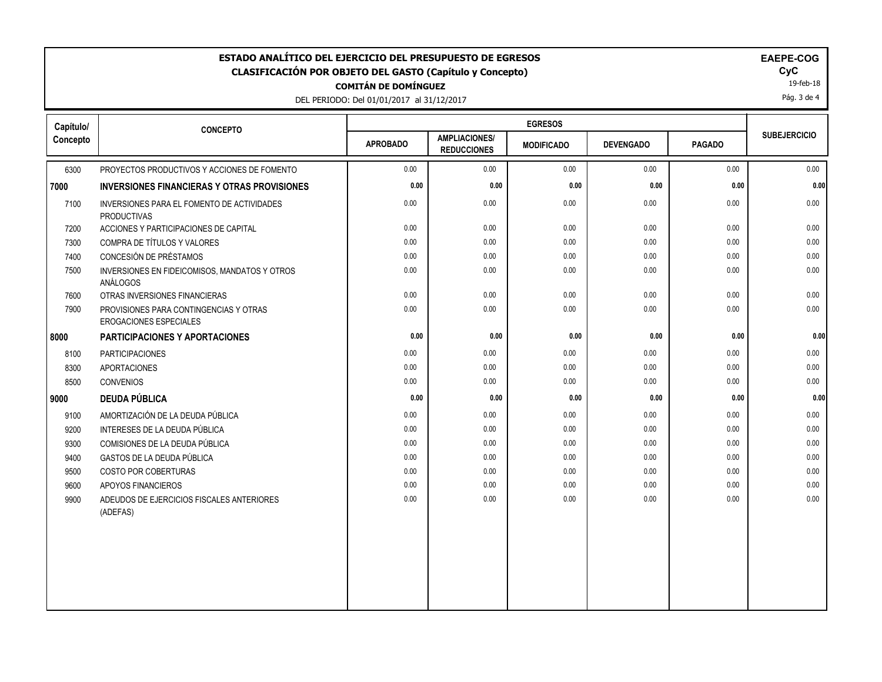| <b>EGRESOS</b><br>Capítulo/<br><b>CONCEPTO</b><br><b>SUBEJERCICIO</b><br><b>AMPLIACIONES/</b><br><b>APROBADO</b><br><b>DEVENGADO</b><br><b>PAGADO</b><br><b>MODIFICADO</b><br><b>REDUCCIONES</b><br>6300<br>0.00<br>0.00<br>0.00<br>0.00<br>0.00<br>0.00<br>PROYECTOS PRODUCTIVOS Y ACCIONES DE FOMENTO<br>0.00<br>0.00<br>0.00<br>0.00<br>0.00<br><b>INVERSIONES FINANCIERAS Y OTRAS PROVISIONES</b><br>0.00<br>0.00<br>0.00<br>0.00<br>0.00<br>7100<br>0.00<br>INVERSIONES PARA EL FOMENTO DE ACTIVIDADES<br><b>PRODUCTIVAS</b><br>0.00<br>0.00<br>0.00<br>0.00<br>0.00<br>7200<br>ACCIONES Y PARTICIPACIONES DE CAPITAL<br>0.00<br>0.00<br>0.00<br>0.00<br>COMPRA DE TÍTULOS Y VALORES<br>0.00<br>0.00<br>0.00<br>7300<br>CONCESIÓN DE PRÉSTAMOS<br>0.00<br>7400<br>0.00<br>0.00<br>0.00<br>0.00<br>0.00<br>0.00<br>0.00<br>0.00<br>0.00<br>0.00<br>0.00<br>7500<br>INVERSIONES EN FIDEICOMISOS, MANDATOS Y OTROS<br><b>ANÁLOGOS</b><br>0.00<br>0.00<br>0.00<br>0.00<br>0.00<br>$0.00\,$<br>7600<br>OTRAS INVERSIONES FINANCIERAS<br>0.00<br>0.00<br>7900<br>0.00<br>0.00<br>0.00<br>0.00<br>PROVISIONES PARA CONTINGENCIAS Y OTRAS<br>EROGACIONES ESPECIALES<br>0.00<br>0.00<br>0.00<br>0.00<br>0.00<br><b>PARTICIPACIONES Y APORTACIONES</b><br>0.00<br>0.00<br><b>PARTICIPACIONES</b><br>0.00<br>0.00<br>0.00<br>0.00<br>8100<br>8300<br><b>APORTACIONES</b><br>0.00<br>0.00<br>0.00<br>0.00<br>0.00<br>0.00<br>0.00<br>0.00<br>0.00<br>0.00<br>0.00<br>0.00<br>8500<br><b>CONVENIOS</b><br><b>DEUDA PÚBLICA</b><br>0.00<br>0.00<br>0.00<br>0.00<br>0.00<br>0.00<br>0.00<br>0.00<br>0.00<br>AMORTIZACIÓN DE LA DEUDA PÚBLICA<br>0.00<br>0.00<br>9100<br>9200<br>INTERESES DE LA DEUDA PÚBLICA<br>0.00<br>0.00<br>0.00<br>0.00<br>0.00<br>0.00<br>0.00<br>0.00<br>0.00<br>0.00<br>0.00<br>COMISIONES DE LA DEUDA PÚBLICA<br>0.00<br>9300<br><b>GASTOS DE LA DEUDA PÚBLICA</b><br>0.00<br>0.00<br>0.00<br>0.00<br>0.00<br>0.00<br>9400<br>9500<br>COSTO POR COBERTURAS<br>0.00<br>0.00<br>0.00<br>0.00<br>0.00<br>0.00<br>0.00<br>0.00<br>0.00<br>0.00<br>0.00<br>0.00<br>9600<br>APOYOS FINANCIEROS<br>0.00<br>0.00<br>0.00<br>0.00<br>0.00<br>9900<br>ADEUDOS DE EJERCICIOS FISCALES ANTERIORES<br>0.00<br>(ADEFAS) | ESTADO ANALÍTICO DEL EJERCICIO DEL PRESUPUESTO DE EGRESOS<br>EAEPE-COG<br>CyC<br><b>CLASIFICACIÓN POR OBJETO DEL GASTO (Capítulo y Concepto)</b><br>19-feb-18<br><b>COMITÁN DE DOMÍNGUEZ</b><br>Pág. 3 de 4<br>DEL PERIODO: Del 01/01/2017 al 31/12/2017 |  |  |  |  |  |  |      |
|---------------------------------------------------------------------------------------------------------------------------------------------------------------------------------------------------------------------------------------------------------------------------------------------------------------------------------------------------------------------------------------------------------------------------------------------------------------------------------------------------------------------------------------------------------------------------------------------------------------------------------------------------------------------------------------------------------------------------------------------------------------------------------------------------------------------------------------------------------------------------------------------------------------------------------------------------------------------------------------------------------------------------------------------------------------------------------------------------------------------------------------------------------------------------------------------------------------------------------------------------------------------------------------------------------------------------------------------------------------------------------------------------------------------------------------------------------------------------------------------------------------------------------------------------------------------------------------------------------------------------------------------------------------------------------------------------------------------------------------------------------------------------------------------------------------------------------------------------------------------------------------------------------------------------------------------------------------------------------------------------------------------------------------------------------------------------------------------------------------------------------------------------------------------------------------------------------------------------|----------------------------------------------------------------------------------------------------------------------------------------------------------------------------------------------------------------------------------------------------------|--|--|--|--|--|--|------|
|                                                                                                                                                                                                                                                                                                                                                                                                                                                                                                                                                                                                                                                                                                                                                                                                                                                                                                                                                                                                                                                                                                                                                                                                                                                                                                                                                                                                                                                                                                                                                                                                                                                                                                                                                                                                                                                                                                                                                                                                                                                                                                                                                                                                                           |                                                                                                                                                                                                                                                          |  |  |  |  |  |  |      |
|                                                                                                                                                                                                                                                                                                                                                                                                                                                                                                                                                                                                                                                                                                                                                                                                                                                                                                                                                                                                                                                                                                                                                                                                                                                                                                                                                                                                                                                                                                                                                                                                                                                                                                                                                                                                                                                                                                                                                                                                                                                                                                                                                                                                                           | Concepto                                                                                                                                                                                                                                                 |  |  |  |  |  |  |      |
|                                                                                                                                                                                                                                                                                                                                                                                                                                                                                                                                                                                                                                                                                                                                                                                                                                                                                                                                                                                                                                                                                                                                                                                                                                                                                                                                                                                                                                                                                                                                                                                                                                                                                                                                                                                                                                                                                                                                                                                                                                                                                                                                                                                                                           |                                                                                                                                                                                                                                                          |  |  |  |  |  |  |      |
|                                                                                                                                                                                                                                                                                                                                                                                                                                                                                                                                                                                                                                                                                                                                                                                                                                                                                                                                                                                                                                                                                                                                                                                                                                                                                                                                                                                                                                                                                                                                                                                                                                                                                                                                                                                                                                                                                                                                                                                                                                                                                                                                                                                                                           | 7000                                                                                                                                                                                                                                                     |  |  |  |  |  |  | 0.00 |
|                                                                                                                                                                                                                                                                                                                                                                                                                                                                                                                                                                                                                                                                                                                                                                                                                                                                                                                                                                                                                                                                                                                                                                                                                                                                                                                                                                                                                                                                                                                                                                                                                                                                                                                                                                                                                                                                                                                                                                                                                                                                                                                                                                                                                           |                                                                                                                                                                                                                                                          |  |  |  |  |  |  |      |
|                                                                                                                                                                                                                                                                                                                                                                                                                                                                                                                                                                                                                                                                                                                                                                                                                                                                                                                                                                                                                                                                                                                                                                                                                                                                                                                                                                                                                                                                                                                                                                                                                                                                                                                                                                                                                                                                                                                                                                                                                                                                                                                                                                                                                           |                                                                                                                                                                                                                                                          |  |  |  |  |  |  |      |
|                                                                                                                                                                                                                                                                                                                                                                                                                                                                                                                                                                                                                                                                                                                                                                                                                                                                                                                                                                                                                                                                                                                                                                                                                                                                                                                                                                                                                                                                                                                                                                                                                                                                                                                                                                                                                                                                                                                                                                                                                                                                                                                                                                                                                           |                                                                                                                                                                                                                                                          |  |  |  |  |  |  |      |
|                                                                                                                                                                                                                                                                                                                                                                                                                                                                                                                                                                                                                                                                                                                                                                                                                                                                                                                                                                                                                                                                                                                                                                                                                                                                                                                                                                                                                                                                                                                                                                                                                                                                                                                                                                                                                                                                                                                                                                                                                                                                                                                                                                                                                           |                                                                                                                                                                                                                                                          |  |  |  |  |  |  |      |
|                                                                                                                                                                                                                                                                                                                                                                                                                                                                                                                                                                                                                                                                                                                                                                                                                                                                                                                                                                                                                                                                                                                                                                                                                                                                                                                                                                                                                                                                                                                                                                                                                                                                                                                                                                                                                                                                                                                                                                                                                                                                                                                                                                                                                           |                                                                                                                                                                                                                                                          |  |  |  |  |  |  |      |
|                                                                                                                                                                                                                                                                                                                                                                                                                                                                                                                                                                                                                                                                                                                                                                                                                                                                                                                                                                                                                                                                                                                                                                                                                                                                                                                                                                                                                                                                                                                                                                                                                                                                                                                                                                                                                                                                                                                                                                                                                                                                                                                                                                                                                           |                                                                                                                                                                                                                                                          |  |  |  |  |  |  |      |
|                                                                                                                                                                                                                                                                                                                                                                                                                                                                                                                                                                                                                                                                                                                                                                                                                                                                                                                                                                                                                                                                                                                                                                                                                                                                                                                                                                                                                                                                                                                                                                                                                                                                                                                                                                                                                                                                                                                                                                                                                                                                                                                                                                                                                           |                                                                                                                                                                                                                                                          |  |  |  |  |  |  |      |
|                                                                                                                                                                                                                                                                                                                                                                                                                                                                                                                                                                                                                                                                                                                                                                                                                                                                                                                                                                                                                                                                                                                                                                                                                                                                                                                                                                                                                                                                                                                                                                                                                                                                                                                                                                                                                                                                                                                                                                                                                                                                                                                                                                                                                           | 8000                                                                                                                                                                                                                                                     |  |  |  |  |  |  | 0.00 |
|                                                                                                                                                                                                                                                                                                                                                                                                                                                                                                                                                                                                                                                                                                                                                                                                                                                                                                                                                                                                                                                                                                                                                                                                                                                                                                                                                                                                                                                                                                                                                                                                                                                                                                                                                                                                                                                                                                                                                                                                                                                                                                                                                                                                                           |                                                                                                                                                                                                                                                          |  |  |  |  |  |  |      |
|                                                                                                                                                                                                                                                                                                                                                                                                                                                                                                                                                                                                                                                                                                                                                                                                                                                                                                                                                                                                                                                                                                                                                                                                                                                                                                                                                                                                                                                                                                                                                                                                                                                                                                                                                                                                                                                                                                                                                                                                                                                                                                                                                                                                                           |                                                                                                                                                                                                                                                          |  |  |  |  |  |  |      |
|                                                                                                                                                                                                                                                                                                                                                                                                                                                                                                                                                                                                                                                                                                                                                                                                                                                                                                                                                                                                                                                                                                                                                                                                                                                                                                                                                                                                                                                                                                                                                                                                                                                                                                                                                                                                                                                                                                                                                                                                                                                                                                                                                                                                                           |                                                                                                                                                                                                                                                          |  |  |  |  |  |  |      |
|                                                                                                                                                                                                                                                                                                                                                                                                                                                                                                                                                                                                                                                                                                                                                                                                                                                                                                                                                                                                                                                                                                                                                                                                                                                                                                                                                                                                                                                                                                                                                                                                                                                                                                                                                                                                                                                                                                                                                                                                                                                                                                                                                                                                                           | 9000                                                                                                                                                                                                                                                     |  |  |  |  |  |  | 0.00 |
|                                                                                                                                                                                                                                                                                                                                                                                                                                                                                                                                                                                                                                                                                                                                                                                                                                                                                                                                                                                                                                                                                                                                                                                                                                                                                                                                                                                                                                                                                                                                                                                                                                                                                                                                                                                                                                                                                                                                                                                                                                                                                                                                                                                                                           |                                                                                                                                                                                                                                                          |  |  |  |  |  |  |      |
|                                                                                                                                                                                                                                                                                                                                                                                                                                                                                                                                                                                                                                                                                                                                                                                                                                                                                                                                                                                                                                                                                                                                                                                                                                                                                                                                                                                                                                                                                                                                                                                                                                                                                                                                                                                                                                                                                                                                                                                                                                                                                                                                                                                                                           |                                                                                                                                                                                                                                                          |  |  |  |  |  |  |      |
|                                                                                                                                                                                                                                                                                                                                                                                                                                                                                                                                                                                                                                                                                                                                                                                                                                                                                                                                                                                                                                                                                                                                                                                                                                                                                                                                                                                                                                                                                                                                                                                                                                                                                                                                                                                                                                                                                                                                                                                                                                                                                                                                                                                                                           |                                                                                                                                                                                                                                                          |  |  |  |  |  |  |      |
|                                                                                                                                                                                                                                                                                                                                                                                                                                                                                                                                                                                                                                                                                                                                                                                                                                                                                                                                                                                                                                                                                                                                                                                                                                                                                                                                                                                                                                                                                                                                                                                                                                                                                                                                                                                                                                                                                                                                                                                                                                                                                                                                                                                                                           |                                                                                                                                                                                                                                                          |  |  |  |  |  |  |      |
|                                                                                                                                                                                                                                                                                                                                                                                                                                                                                                                                                                                                                                                                                                                                                                                                                                                                                                                                                                                                                                                                                                                                                                                                                                                                                                                                                                                                                                                                                                                                                                                                                                                                                                                                                                                                                                                                                                                                                                                                                                                                                                                                                                                                                           |                                                                                                                                                                                                                                                          |  |  |  |  |  |  |      |
|                                                                                                                                                                                                                                                                                                                                                                                                                                                                                                                                                                                                                                                                                                                                                                                                                                                                                                                                                                                                                                                                                                                                                                                                                                                                                                                                                                                                                                                                                                                                                                                                                                                                                                                                                                                                                                                                                                                                                                                                                                                                                                                                                                                                                           |                                                                                                                                                                                                                                                          |  |  |  |  |  |  |      |
|                                                                                                                                                                                                                                                                                                                                                                                                                                                                                                                                                                                                                                                                                                                                                                                                                                                                                                                                                                                                                                                                                                                                                                                                                                                                                                                                                                                                                                                                                                                                                                                                                                                                                                                                                                                                                                                                                                                                                                                                                                                                                                                                                                                                                           |                                                                                                                                                                                                                                                          |  |  |  |  |  |  |      |